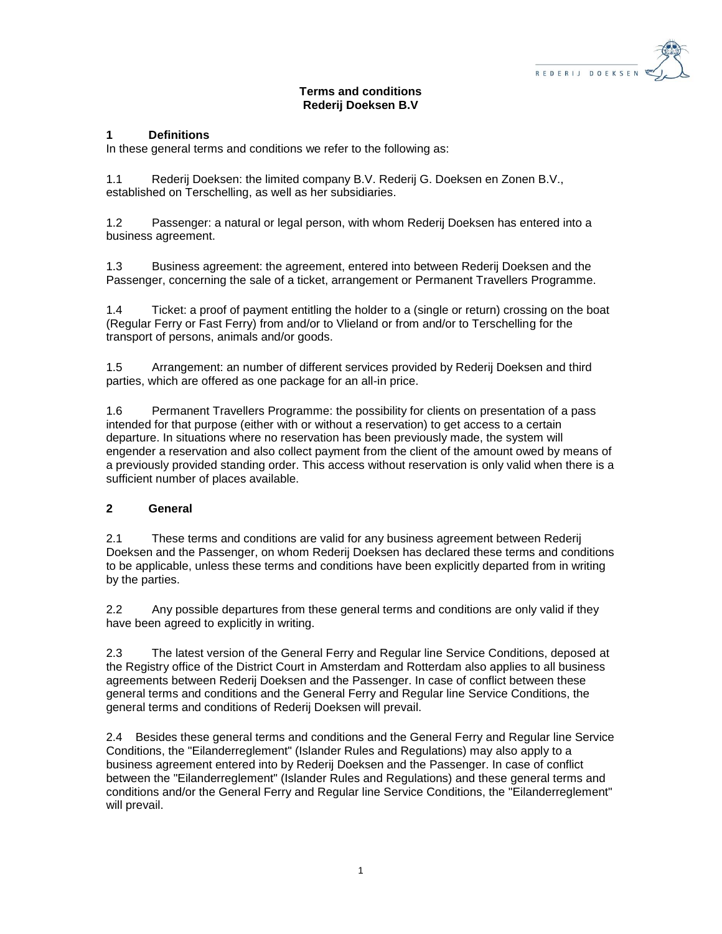

# **Terms and conditions Rederij Doeksen B.V**

#### **1 Definitions**

In these general terms and conditions we refer to the following as:

1.1 Rederij Doeksen: the limited company B.V. Rederij G. Doeksen en Zonen B.V., established on Terschelling, as well as her subsidiaries.

1.2 Passenger: a natural or legal person, with whom Rederij Doeksen has entered into a business agreement.

1.3 Business agreement: the agreement, entered into between Rederij Doeksen and the Passenger, concerning the sale of a ticket, arrangement or Permanent Travellers Programme.

1.4 Ticket: a proof of payment entitling the holder to a (single or return) crossing on the boat (Regular Ferry or Fast Ferry) from and/or to Vlieland or from and/or to Terschelling for the transport of persons, animals and/or goods.

1.5 Arrangement: an number of different services provided by Rederij Doeksen and third parties, which are offered as one package for an all-in price.

1.6 Permanent Travellers Programme: the possibility for clients on presentation of a pass intended for that purpose (either with or without a reservation) to get access to a certain departure. In situations where no reservation has been previously made, the system will engender a reservation and also collect payment from the client of the amount owed by means of a previously provided standing order. This access without reservation is only valid when there is a sufficient number of places available.

# **2 General**

2.1 These terms and conditions are valid for any business agreement between Rederij Doeksen and the Passenger, on whom Rederij Doeksen has declared these terms and conditions to be applicable, unless these terms and conditions have been explicitly departed from in writing by the parties.

2.2 Any possible departures from these general terms and conditions are only valid if they have been agreed to explicitly in writing.

2.3 The latest version of the General Ferry and Regular line Service Conditions, deposed at the Registry office of the District Court in Amsterdam and Rotterdam also applies to all business agreements between Rederij Doeksen and the Passenger. In case of conflict between these general terms and conditions and the General Ferry and Regular line Service Conditions, the general terms and conditions of Rederij Doeksen will prevail.

2.4 Besides these general terms and conditions and the General Ferry and Regular line Service Conditions, the "Eilanderreglement" (Islander Rules and Regulations) may also apply to a business agreement entered into by Rederij Doeksen and the Passenger. In case of conflict between the "Eilanderreglement" (Islander Rules and Regulations) and these general terms and conditions and/or the General Ferry and Regular line Service Conditions, the "Eilanderreglement" will prevail.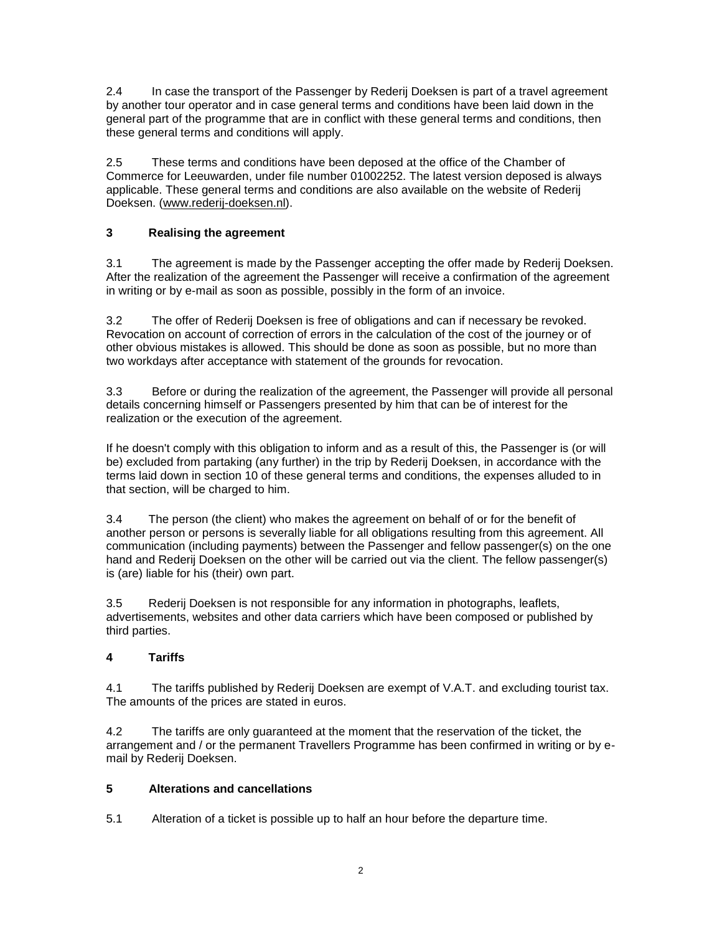2.4 In case the transport of the Passenger by Rederij Doeksen is part of a travel agreement by another tour operator and in case general terms and conditions have been laid down in the general part of the programme that are in conflict with these general terms and conditions, then these general terms and conditions will apply.

2.5 These terms and conditions have been deposed at the office of the Chamber of Commerce for Leeuwarden, under file number 01002252. The latest version deposed is always applicable. These general terms and conditions are also available on the website of Rederij Doeksen. [\(www.rederij-doeksen.nl\)](http://www.rederij-doeksen.nl/).

# **3 Realising the agreement**

3.1 The agreement is made by the Passenger accepting the offer made by Rederij Doeksen. After the realization of the agreement the Passenger will receive a confirmation of the agreement in writing or by e-mail as soon as possible, possibly in the form of an invoice.

3.2 The offer of Rederij Doeksen is free of obligations and can if necessary be revoked. Revocation on account of correction of errors in the calculation of the cost of the journey or of other obvious mistakes is allowed. This should be done as soon as possible, but no more than two workdays after acceptance with statement of the grounds for revocation.

3.3 Before or during the realization of the agreement, the Passenger will provide all personal details concerning himself or Passengers presented by him that can be of interest for the realization or the execution of the agreement.

If he doesn't comply with this obligation to inform and as a result of this, the Passenger is (or will be) excluded from partaking (any further) in the trip by Rederij Doeksen, in accordance with the terms laid down in section 10 of these general terms and conditions, the expenses alluded to in that section, will be charged to him.

3.4 The person (the client) who makes the agreement on behalf of or for the benefit of another person or persons is severally liable for all obligations resulting from this agreement. All communication (including payments) between the Passenger and fellow passenger(s) on the one hand and Rederij Doeksen on the other will be carried out via the client. The fellow passenger(s) is (are) liable for his (their) own part.

3.5 Rederij Doeksen is not responsible for any information in photographs, leaflets, advertisements, websites and other data carriers which have been composed or published by third parties.

# **4 Tariffs**

4.1 The tariffs published by Rederij Doeksen are exempt of V.A.T. and excluding tourist tax. The amounts of the prices are stated in euros.

4.2 The tariffs are only guaranteed at the moment that the reservation of the ticket, the arrangement and / or the permanent Travellers Programme has been confirmed in writing or by email by Rederij Doeksen.

# **5 Alterations and cancellations**

5.1 Alteration of a ticket is possible up to half an hour before the departure time.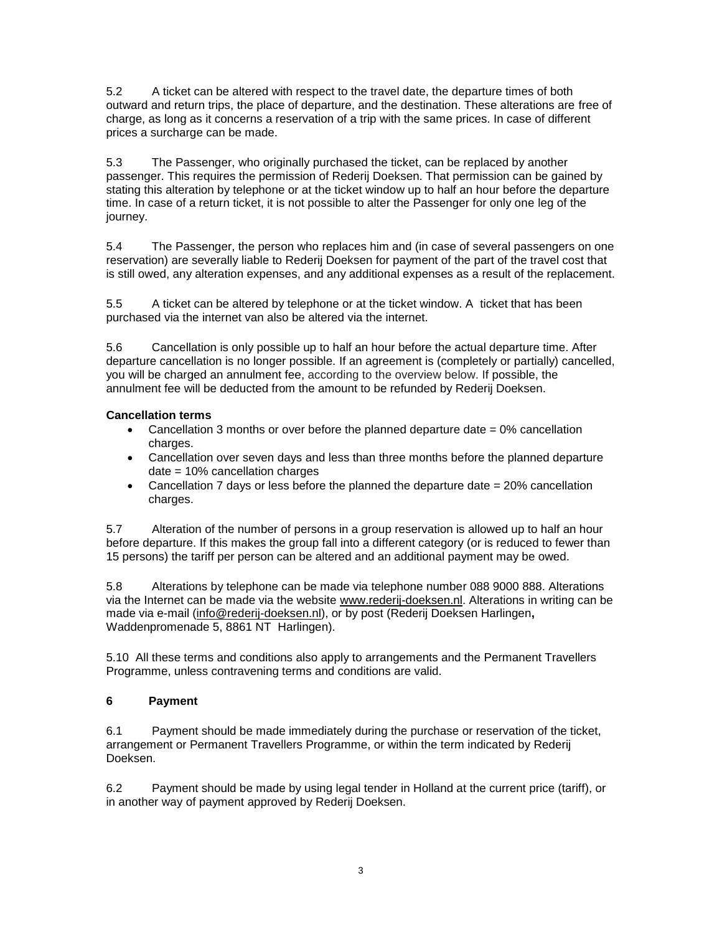5.2 A ticket can be altered with respect to the travel date, the departure times of both outward and return trips, the place of departure, and the destination. These alterations are free of charge, as long as it concerns a reservation of a trip with the same prices. In case of different prices a surcharge can be made.

5.3 The Passenger, who originally purchased the ticket, can be replaced by another passenger. This requires the permission of Rederij Doeksen. That permission can be gained by stating this alteration by telephone or at the ticket window up to half an hour before the departure time. In case of a return ticket, it is not possible to alter the Passenger for only one leg of the journey.

5.4 The Passenger, the person who replaces him and (in case of several passengers on one reservation) are severally liable to Rederij Doeksen for payment of the part of the travel cost that is still owed, any alteration expenses, and any additional expenses as a result of the replacement.

5.5 A ticket can be altered by telephone or at the ticket window. A ticket that has been purchased via the internet van also be altered via the internet.

5.6 Cancellation is only possible up to half an hour before the actual departure time. After departure cancellation is no longer possible. If an agreement is (completely or partially) cancelled, you will be charged an annulment fee, according to the overview below. If possible, the annulment fee will be deducted from the amount to be refunded by Rederij Doeksen.

# **Cancellation terms**

- Cancellation 3 months or over before the planned departure date  $= 0\%$  cancellation charges.
- Cancellation over seven days and less than three months before the planned departure date = 10% cancellation charges
- Cancellation 7 days or less before the planned the departure date  $= 20\%$  cancellation charges.

5.7 Alteration of the number of persons in a group reservation is allowed up to half an hour before departure. If this makes the group fall into a different category (or is reduced to fewer than 15 persons) the tariff per person can be altered and an additional payment may be owed.

5.8 Alterations by telephone can be made via telephone number 088 9000 888. Alterations via the Internet can be made via the website [www.rederij-doeksen.nl.](http://www.rederij-doeksen.nl/) Alterations in writing can be made via e-mail [\(info@rederij-doeksen.nl\)](mailto:info@rederij-doeksen.nl), or by post (Rederij Doeksen Harlingen**,** Waddenpromenade 5, 8861 NT Harlingen).

5.10 All these terms and conditions also apply to arrangements and the Permanent Travellers Programme, unless contravening terms and conditions are valid.

# **6 Payment**

6.1 Payment should be made immediately during the purchase or reservation of the ticket, arrangement or Permanent Travellers Programme, or within the term indicated by Rederij Doeksen.

6.2 Payment should be made by using legal tender in Holland at the current price (tariff), or in another way of payment approved by Rederij Doeksen.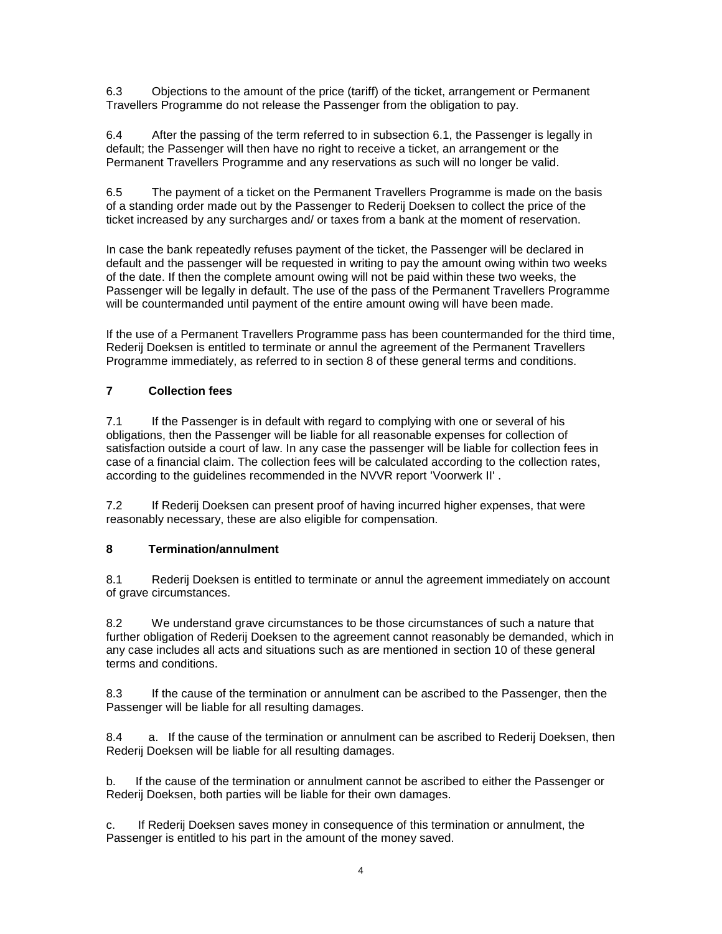6.3 Objections to the amount of the price (tariff) of the ticket, arrangement or Permanent Travellers Programme do not release the Passenger from the obligation to pay.

6.4 After the passing of the term referred to in subsection 6.1, the Passenger is legally in default; the Passenger will then have no right to receive a ticket, an arrangement or the Permanent Travellers Programme and any reservations as such will no longer be valid.

6.5 The payment of a ticket on the Permanent Travellers Programme is made on the basis of a standing order made out by the Passenger to Rederij Doeksen to collect the price of the ticket increased by any surcharges and/ or taxes from a bank at the moment of reservation.

In case the bank repeatedly refuses payment of the ticket, the Passenger will be declared in default and the passenger will be requested in writing to pay the amount owing within two weeks of the date. If then the complete amount owing will not be paid within these two weeks, the Passenger will be legally in default. The use of the pass of the Permanent Travellers Programme will be countermanded until payment of the entire amount owing will have been made.

If the use of a Permanent Travellers Programme pass has been countermanded for the third time, Rederij Doeksen is entitled to terminate or annul the agreement of the Permanent Travellers Programme immediately, as referred to in section 8 of these general terms and conditions.

# **7 Collection fees**

7.1 If the Passenger is in default with regard to complying with one or several of his obligations, then the Passenger will be liable for all reasonable expenses for collection of satisfaction outside a court of law. In any case the passenger will be liable for collection fees in case of a financial claim. The collection fees will be calculated according to the collection rates, according to the guidelines recommended in the NVVR report 'Voorwerk II' .

7.2 If Rederij Doeksen can present proof of having incurred higher expenses, that were reasonably necessary, these are also eligible for compensation.

#### **8 Termination/annulment**

8.1 Rederij Doeksen is entitled to terminate or annul the agreement immediately on account of grave circumstances.

8.2 We understand grave circumstances to be those circumstances of such a nature that further obligation of Rederij Doeksen to the agreement cannot reasonably be demanded, which in any case includes all acts and situations such as are mentioned in section 10 of these general terms and conditions.

8.3 If the cause of the termination or annulment can be ascribed to the Passenger, then the Passenger will be liable for all resulting damages.

8.4 a. If the cause of the termination or annulment can be ascribed to Rederij Doeksen, then Rederij Doeksen will be liable for all resulting damages.

b. If the cause of the termination or annulment cannot be ascribed to either the Passenger or Rederij Doeksen, both parties will be liable for their own damages.

c. If Rederij Doeksen saves money in consequence of this termination or annulment, the Passenger is entitled to his part in the amount of the money saved.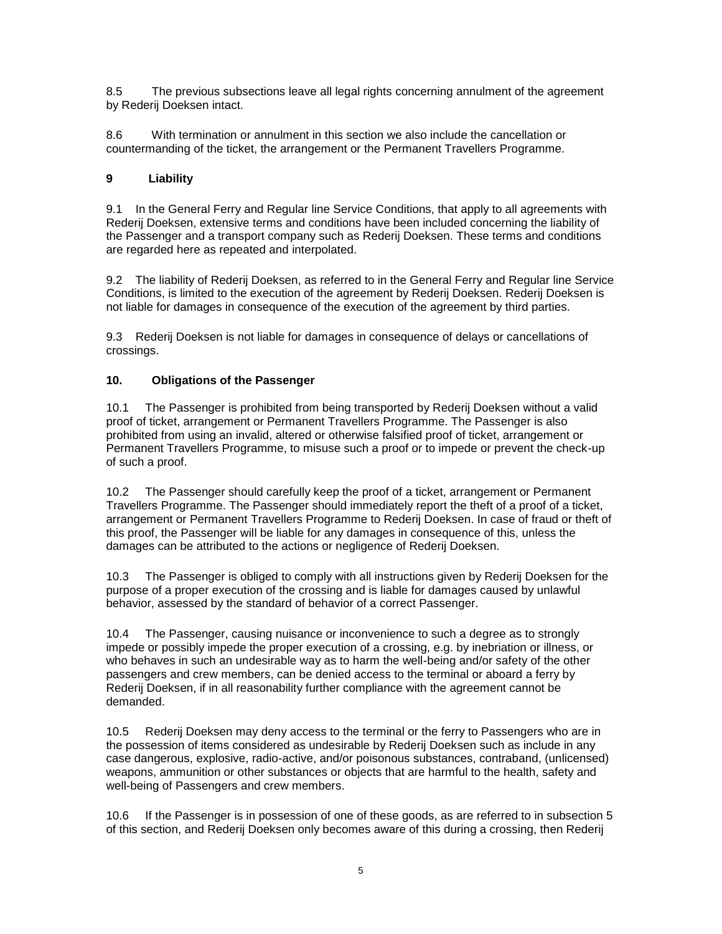8.5 The previous subsections leave all legal rights concerning annulment of the agreement by Rederij Doeksen intact.

8.6 With termination or annulment in this section we also include the cancellation or countermanding of the ticket, the arrangement or the Permanent Travellers Programme.

# **9 Liability**

9.1 In the General Ferry and Regular line Service Conditions, that apply to all agreements with Rederij Doeksen, extensive terms and conditions have been included concerning the liability of the Passenger and a transport company such as Rederij Doeksen. These terms and conditions are regarded here as repeated and interpolated.

9.2 The liability of Rederij Doeksen, as referred to in the General Ferry and Regular line Service Conditions, is limited to the execution of the agreement by Rederij Doeksen. Rederij Doeksen is not liable for damages in consequence of the execution of the agreement by third parties.

9.3 Rederij Doeksen is not liable for damages in consequence of delays or cancellations of crossings.

# **10. Obligations of the Passenger**

10.1 The Passenger is prohibited from being transported by Rederij Doeksen without a valid proof of ticket, arrangement or Permanent Travellers Programme. The Passenger is also prohibited from using an invalid, altered or otherwise falsified proof of ticket, arrangement or Permanent Travellers Programme, to misuse such a proof or to impede or prevent the check-up of such a proof.

10.2 The Passenger should carefully keep the proof of a ticket, arrangement or Permanent Travellers Programme. The Passenger should immediately report the theft of a proof of a ticket, arrangement or Permanent Travellers Programme to Rederij Doeksen. In case of fraud or theft of this proof, the Passenger will be liable for any damages in consequence of this, unless the damages can be attributed to the actions or negligence of Rederij Doeksen.

10.3 The Passenger is obliged to comply with all instructions given by Rederij Doeksen for the purpose of a proper execution of the crossing and is liable for damages caused by unlawful behavior, assessed by the standard of behavior of a correct Passenger.

10.4 The Passenger, causing nuisance or inconvenience to such a degree as to strongly impede or possibly impede the proper execution of a crossing, e.g. by inebriation or illness, or who behaves in such an undesirable way as to harm the well-being and/or safety of the other passengers and crew members, can be denied access to the terminal or aboard a ferry by Rederij Doeksen, if in all reasonability further compliance with the agreement cannot be demanded.

10.5 Rederij Doeksen may deny access to the terminal or the ferry to Passengers who are in the possession of items considered as undesirable by Rederij Doeksen such as include in any case dangerous, explosive, radio-active, and/or poisonous substances, contraband, (unlicensed) weapons, ammunition or other substances or objects that are harmful to the health, safety and well-being of Passengers and crew members.

10.6 If the Passenger is in possession of one of these goods, as are referred to in subsection 5 of this section, and Rederij Doeksen only becomes aware of this during a crossing, then Rederij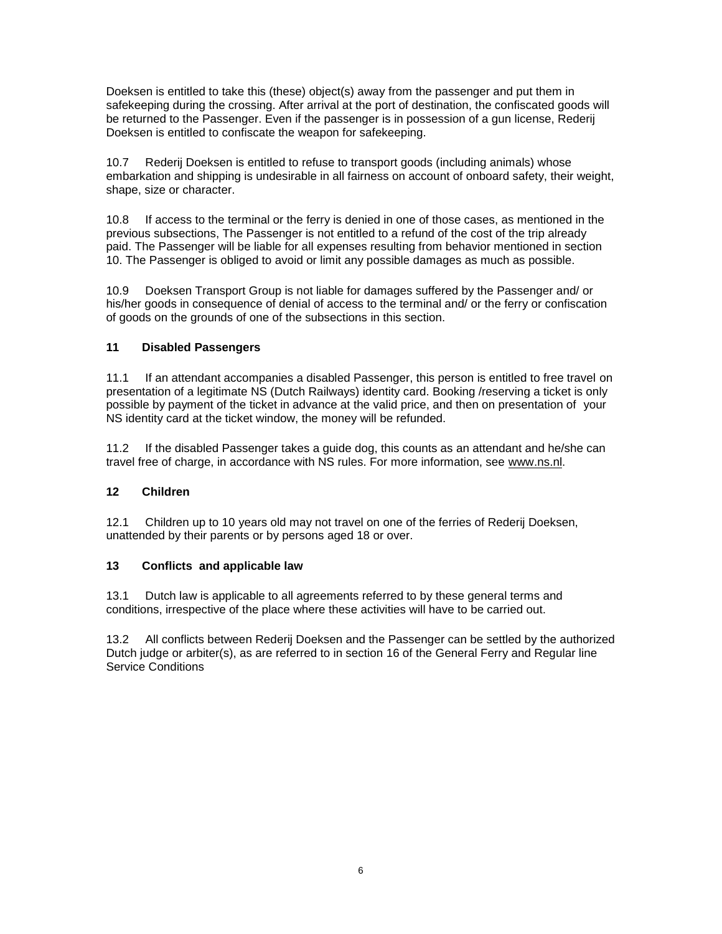Doeksen is entitled to take this (these) object(s) away from the passenger and put them in safekeeping during the crossing. After arrival at the port of destination, the confiscated goods will be returned to the Passenger. Even if the passenger is in possession of a gun license, Rederij Doeksen is entitled to confiscate the weapon for safekeeping.

10.7 Rederij Doeksen is entitled to refuse to transport goods (including animals) whose embarkation and shipping is undesirable in all fairness on account of onboard safety, their weight, shape, size or character.

10.8 If access to the terminal or the ferry is denied in one of those cases, as mentioned in the previous subsections, The Passenger is not entitled to a refund of the cost of the trip already paid. The Passenger will be liable for all expenses resulting from behavior mentioned in section 10. The Passenger is obliged to avoid or limit any possible damages as much as possible.

10.9 Doeksen Transport Group is not liable for damages suffered by the Passenger and/ or his/her goods in consequence of denial of access to the terminal and/ or the ferry or confiscation of goods on the grounds of one of the subsections in this section.

# **11 Disabled Passengers**

11.1 If an attendant accompanies a disabled Passenger, this person is entitled to free travel on presentation of a legitimate NS (Dutch Railways) identity card. Booking /reserving a ticket is only possible by payment of the ticket in advance at the valid price, and then on presentation of your NS identity card at the ticket window, the money will be refunded.

11.2 If the disabled Passenger takes a guide dog, this counts as an attendant and he/she can travel free of charge, in accordance with NS rules. For more information, see [www.ns.nl.](http://www.ns.nl/)

# **12 Children**

12.1 Children up to 10 years old may not travel on one of the ferries of Rederij Doeksen, unattended by their parents or by persons aged 18 or over.

# **13 Conflicts and applicable law**

13.1 Dutch law is applicable to all agreements referred to by these general terms and conditions, irrespective of the place where these activities will have to be carried out.

13.2 All conflicts between Rederij Doeksen and the Passenger can be settled by the authorized Dutch judge or arbiter(s), as are referred to in section 16 of the General Ferry and Regular line Service Conditions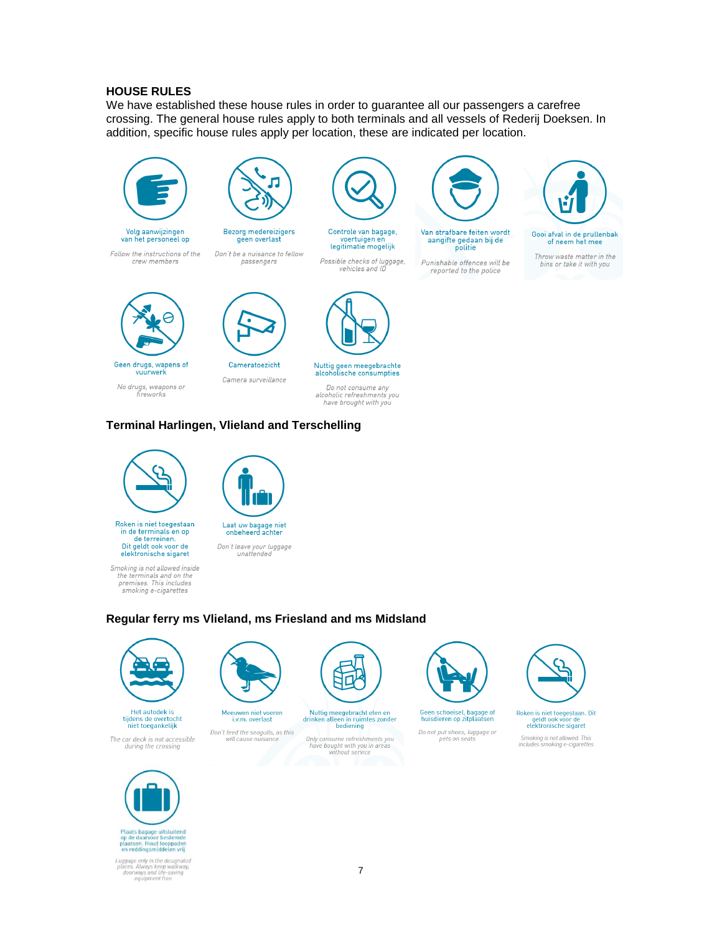#### **HOUSE RULES**

We have established these house rules in order to guarantee all our passengers a carefree crossing. The general house rules apply to both terminals and all vessels of Rederij Doeksen. In addition, specific house rules apply per location, these are indicated per location.





Follow the instructions of the crew members



Bezorg medereizigers geen overlast Don't be a nuisance to fellow

passengers



voertuigen en<br>legitimatie mogelijk

Possible checks of luggage,<br>vehicles and ID

Van strafbare feiten wordt aangifte gedaan bij de politie

Punishable offences will be reported to the police



Gooi afval in de prullenbak of neem het mee

Throw waste matter in the bins or take it with you



vuurwerk No drugs, weapons or fireworks

Cameratoezicht

Camera surveillance

Do not consume any alcoholic refreshments you<br>have brought with you

Nuttig geen meegebrachte<br>alcoholische consumpties

# **Terminal Harlingen, Vlieland and Terschelling**



Roken is niet toegestaan in de terminals en op<br>de terreinen.<br>Dit geldt ook voor de elektronische sigaret

Smoking is not allowed inside the terminals and on the<br>premises. This includes smoking e-cigarettes



Laat uw bagage niet<br>onbeheerd achter Don't leave your luggage<br>unattended

# Regular ferry ms Vlieland, ms Friesland and ms Midsland

will cause nuisance



Het autodek is<br>tijdens de overtocht<br>niet toegankelijk

The car deck is not accessible<br>during the crossing



Meeuwen niet voeren<br>i.v.m. overlast Nuttig meegebracht eten en<br>drinken alleen in ruimtes zonder<br>bediening Don't feed the seagulls, as this

Only consume refreshments you<br>have bought with you in areas<br>without service



Geen schoeisel, bagage of<br>huisdieren op zitplaatsen

Do not put shoes, luggage or<br>pets on seats



Roken is niet toegestaan. Dit<br>geldt ook voor de<br>elektronische sigaret

Smoking is not allowed. This<br>includes smoking e-cigarettes



Plaats bagage uitsluitend<br>op de daarvoor bestemde<br>plaatsen, Houd looppader<br>en reddingsmiddelen vrij

Luggage only in the designated<br>places. Always keep walkway,<br>doorways and life-saving<br>equipment free